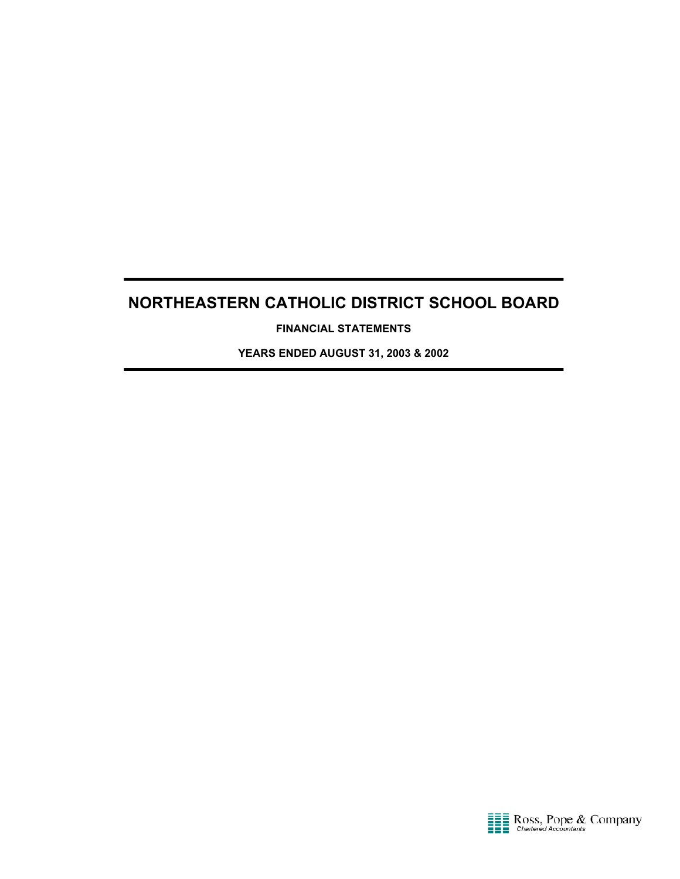**FINANCIAL STATEMENTS**

**YEARS ENDED AUGUST 31, 2003 & 2002**

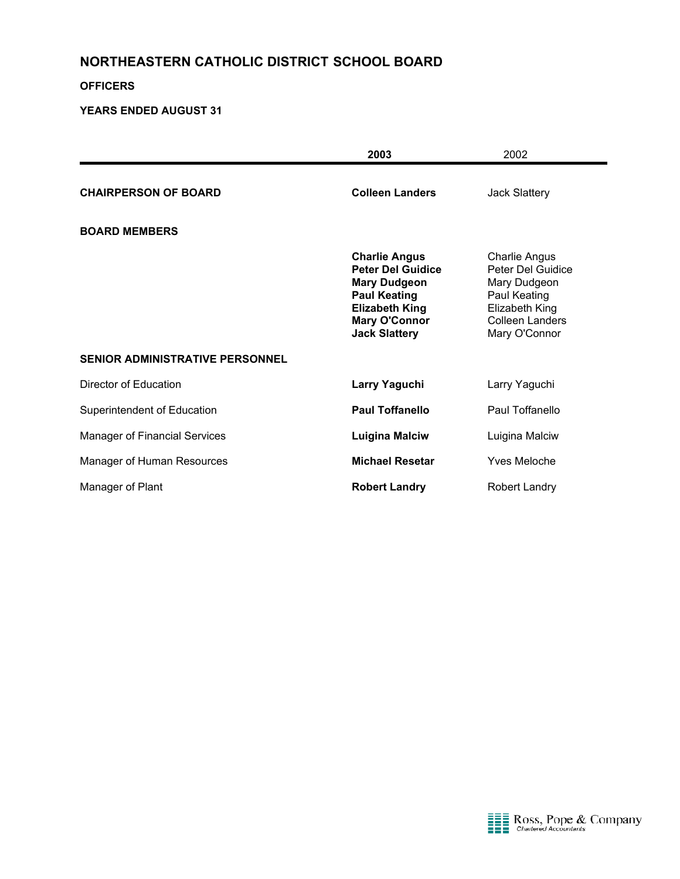#### **OFFICERS**

|                                        | 2003                                                                                                                                                                    | 2002                                                                                                                                   |
|----------------------------------------|-------------------------------------------------------------------------------------------------------------------------------------------------------------------------|----------------------------------------------------------------------------------------------------------------------------------------|
| <b>CHAIRPERSON OF BOARD</b>            | <b>Colleen Landers</b>                                                                                                                                                  | <b>Jack Slattery</b>                                                                                                                   |
| <b>BOARD MEMBERS</b>                   |                                                                                                                                                                         |                                                                                                                                        |
|                                        | <b>Charlie Angus</b><br><b>Peter Del Guidice</b><br><b>Mary Dudgeon</b><br><b>Paul Keating</b><br><b>Elizabeth King</b><br><b>Mary O'Connor</b><br><b>Jack Slattery</b> | <b>Charlie Angus</b><br>Peter Del Guidice<br>Mary Dudgeon<br>Paul Keating<br>Elizabeth King<br><b>Colleen Landers</b><br>Mary O'Connor |
| <b>SENIOR ADMINISTRATIVE PERSONNEL</b> |                                                                                                                                                                         |                                                                                                                                        |
| Director of Education                  | Larry Yaguchi                                                                                                                                                           | Larry Yaguchi                                                                                                                          |
| Superintendent of Education            | <b>Paul Toffanello</b>                                                                                                                                                  | Paul Toffanello                                                                                                                        |
| <b>Manager of Financial Services</b>   | <b>Luigina Malciw</b>                                                                                                                                                   | Luigina Malciw                                                                                                                         |
| Manager of Human Resources             | <b>Michael Resetar</b>                                                                                                                                                  | Yves Meloche                                                                                                                           |
| Manager of Plant                       | <b>Robert Landry</b>                                                                                                                                                    | Robert Landry                                                                                                                          |

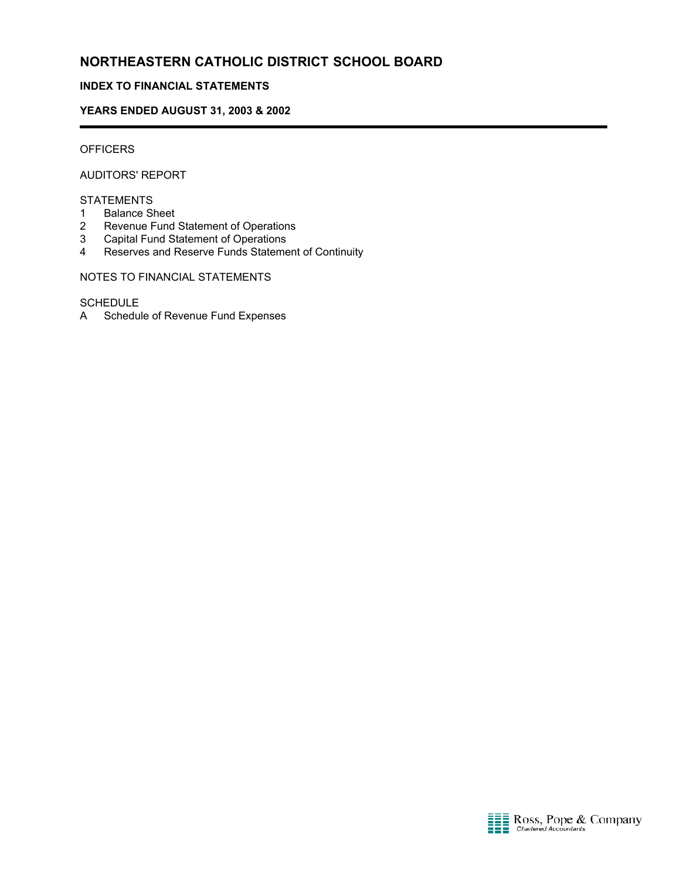#### **INDEX TO FINANCIAL STATEMENTS**

#### **YEARS ENDED AUGUST 31, 2003 & 2002**

### **OFFICERS**

í

AUDITORS' REPORT

#### STATEMENTS

- 1 Balance Sheet
- 2 Revenue Fund Statement of Operations
- 3 Capital Fund Statement of Operations
- 4 Reserves and Reserve Funds Statement of Continuity

NOTES TO FINANCIAL STATEMENTS

#### **SCHEDULE**

A Schedule of Revenue Fund Expenses

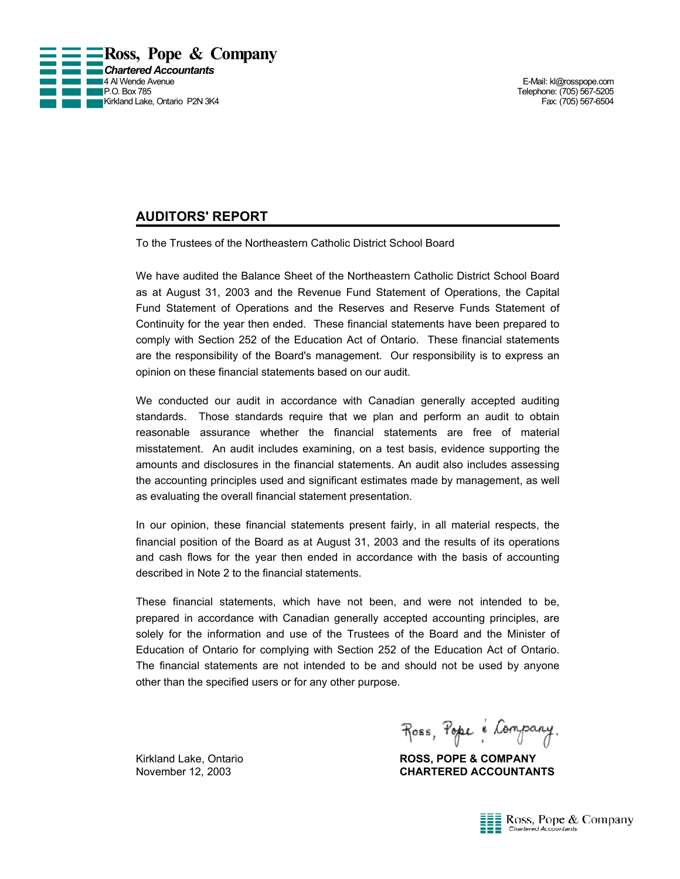

Telephone: (705) 567-5205

### **AUDITORS' REPORT**

To the Trustees of the Northeastern Catholic District School Board

We have audited the Balance Sheet of the Northeastern Catholic District School Board as at August 31, 2003 and the Revenue Fund Statement of Operations, the Capital Fund Statement of Operations and the Reserves and Reserve Funds Statement of Continuity for the year then ended. These financial statements have been prepared to comply with Section 252 of the Education Act of Ontario. These financial statements are the responsibility of the Board's management. Our responsibility is to express an opinion on these financial statements based on our audit.

We conducted our audit in accordance with Canadian generally accepted auditing standards. Those standards require that we plan and perform an audit to obtain reasonable assurance whether the financial statements are free of material misstatement. An audit includes examining, on a test basis, evidence supporting the amounts and disclosures in the financial statements. An audit also includes assessing the accounting principles used and significant estimates made by management, as well as evaluating the overall financial statement presentation.

In our opinion, these financial statements present fairly, in all material respects, the financial position of the Board as at August 31, 2003 and the results of its operations and cash flows for the year then ended in accordance with the basis of accounting described in Note 2 to the financial statements.

These financial statements, which have not been, and were not intended to be, prepared in accordance with Canadian generally accepted accounting principles, are solely for the information and use of the Trustees of the Board and the Minister of Education of Ontario for complying with Section 252 of the Education Act of Ontario. The financial statements are not intended to be and should not be used by anyone other than the specified users or for any other purpose.

Ross, Pope é Company.

Kirkland Lake, Ontario **ROSS, POPE & COMPANY** November 12, 2003 **CHARTERED ACCOUNTANTS**

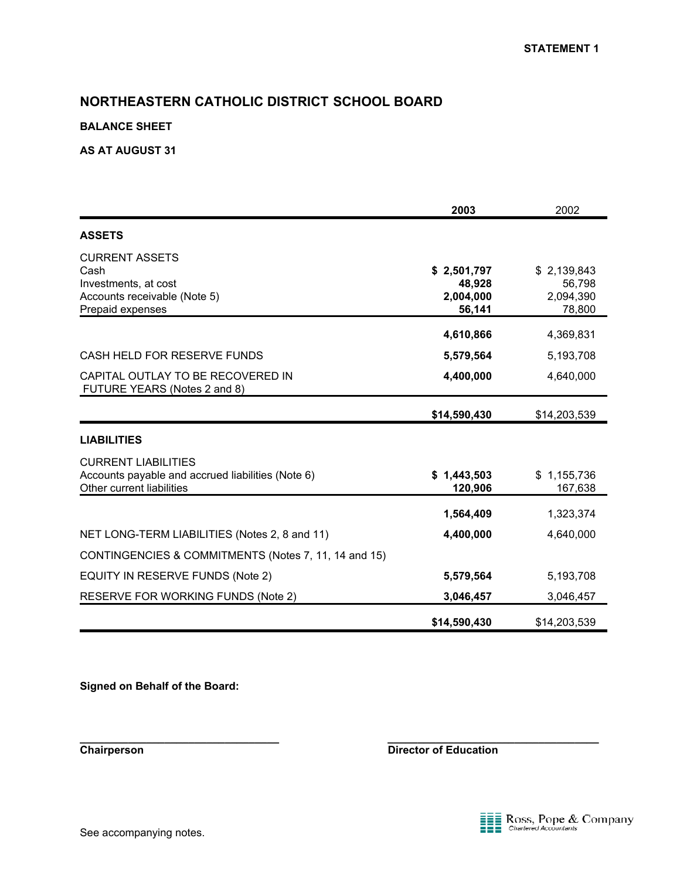#### **BALANCE SHEET**

#### **AS AT AUGUST 31**

|                                                                                                              | 2003                                         | 2002                                         |
|--------------------------------------------------------------------------------------------------------------|----------------------------------------------|----------------------------------------------|
| <b>ASSETS</b>                                                                                                |                                              |                                              |
| <b>CURRENT ASSETS</b><br>Cash<br>Investments, at cost<br>Accounts receivable (Note 5)<br>Prepaid expenses    | \$2,501,797<br>48,928<br>2,004,000<br>56,141 | \$2,139,843<br>56,798<br>2,094,390<br>78,800 |
|                                                                                                              | 4,610,866                                    | 4,369,831                                    |
| CASH HELD FOR RESERVE FUNDS                                                                                  | 5,579,564                                    | 5,193,708                                    |
| CAPITAL OUTLAY TO BE RECOVERED IN<br>FUTURE YEARS (Notes 2 and 8)                                            | 4,400,000                                    | 4,640,000                                    |
|                                                                                                              | \$14,590,430                                 | \$14,203,539                                 |
| <b>LIABILITIES</b>                                                                                           |                                              |                                              |
| <b>CURRENT LIABILITIES</b><br>Accounts payable and accrued liabilities (Note 6)<br>Other current liabilities | \$1,443,503<br>120,906                       | \$1,155,736<br>167,638                       |
|                                                                                                              | 1,564,409                                    | 1,323,374                                    |
| NET LONG-TERM LIABILITIES (Notes 2, 8 and 11)                                                                | 4,400,000                                    | 4,640,000                                    |
| CONTINGENCIES & COMMITMENTS (Notes 7, 11, 14 and 15)                                                         |                                              |                                              |
| EQUITY IN RESERVE FUNDS (Note 2)                                                                             | 5,579,564                                    | 5,193,708                                    |
| <b>RESERVE FOR WORKING FUNDS (Note 2)</b>                                                                    | 3,046,457                                    | 3,046,457                                    |
|                                                                                                              | \$14,590,430                                 | \$14,203,539                                 |

**\_\_\_\_\_\_\_\_\_\_\_\_\_\_\_\_\_\_\_\_\_\_\_\_\_\_\_\_\_\_\_\_\_ \_\_\_\_\_\_\_\_\_\_\_\_\_\_\_\_\_\_\_\_\_\_\_\_\_\_\_\_\_\_\_\_\_\_\_**

**Signed on Behalf of the Board:**

**Chairperson** Director of Education

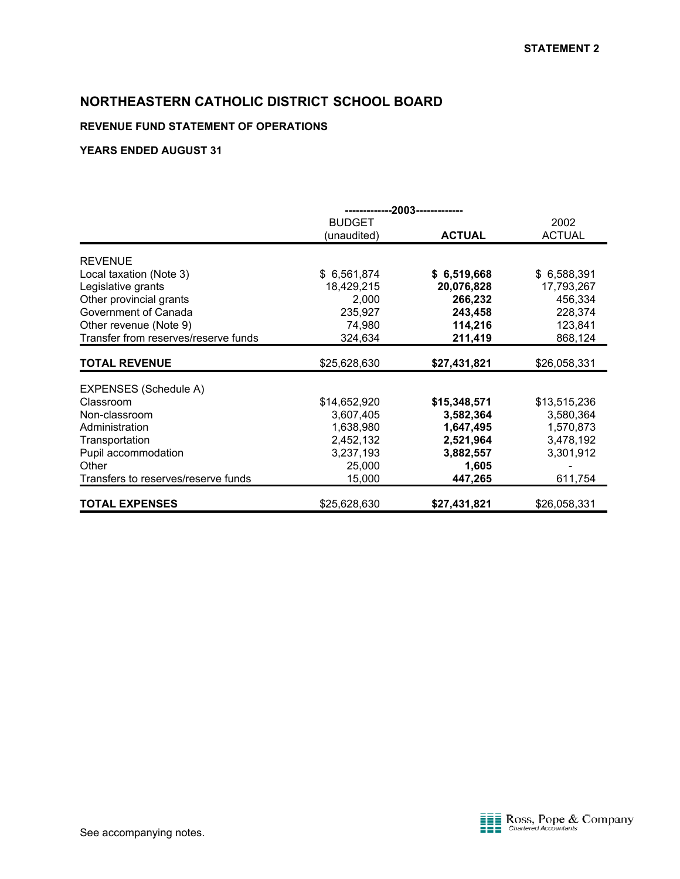### **REVENUE FUND STATEMENT OF OPERATIONS**

|                                      | --2003-------------- |               |               |
|--------------------------------------|----------------------|---------------|---------------|
|                                      | <b>BUDGET</b>        |               | 2002          |
|                                      | (unaudited)          | <b>ACTUAL</b> | <b>ACTUAL</b> |
| <b>REVENUE</b>                       |                      |               |               |
|                                      | \$6,561,874          |               | \$6,588,391   |
| Local taxation (Note 3)              |                      | \$6,519,668   |               |
| Legislative grants                   | 18,429,215           | 20,076,828    | 17,793,267    |
| Other provincial grants              | 2,000                | 266,232       | 456,334       |
| Government of Canada                 | 235,927              | 243,458       | 228,374       |
| Other revenue (Note 9)               | 74,980               | 114,216       | 123,841       |
| Transfer from reserves/reserve funds | 324,634              | 211,419       | 868,124       |
| <b>TOTAL REVENUE</b>                 | \$25,628,630         | \$27,431,821  | \$26,058,331  |
|                                      |                      |               |               |
| EXPENSES (Schedule A)                |                      |               |               |
| Classroom                            | \$14,652,920         | \$15,348,571  | \$13,515,236  |
| Non-classroom                        | 3,607,405            | 3,582,364     | 3,580,364     |
| Administration                       | 1,638,980            | 1,647,495     | 1,570,873     |
| Transportation                       | 2,452,132            | 2,521,964     | 3,478,192     |
| Pupil accommodation                  | 3,237,193            | 3,882,557     | 3,301,912     |
| Other                                | 25,000               | 1,605         |               |
| Transfers to reserves/reserve funds  | 15,000               | 447,265       | 611,754       |
| <b>TOTAL EXPENSES</b>                | \$25,628,630         | \$27,431,821  | \$26,058,331  |

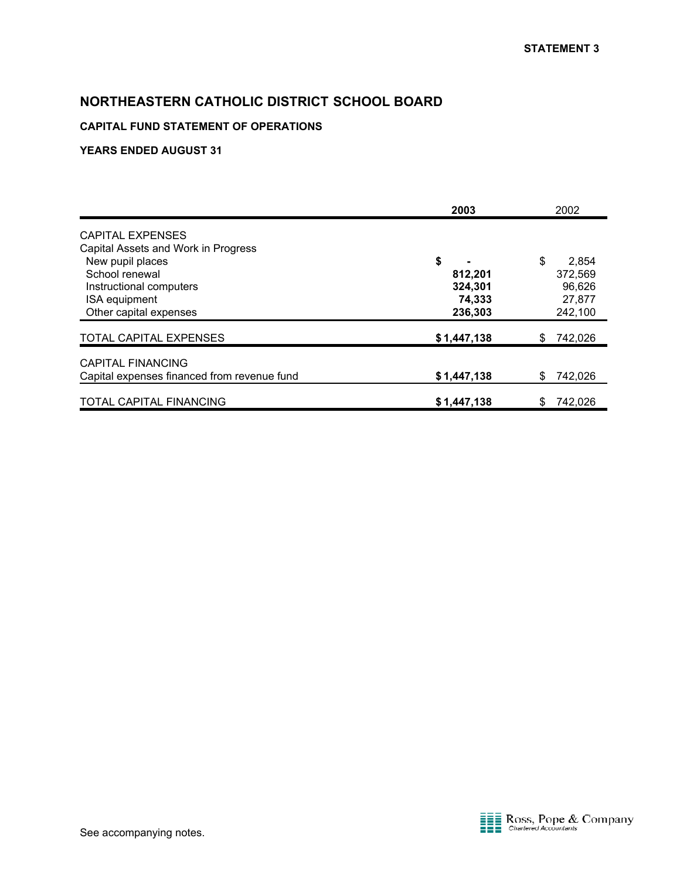### **CAPITAL FUND STATEMENT OF OPERATIONS**

|                                                                                                                                                                            | 2003                                          | 2002                                                  |
|----------------------------------------------------------------------------------------------------------------------------------------------------------------------------|-----------------------------------------------|-------------------------------------------------------|
| <b>CAPITAL EXPENSES</b><br>Capital Assets and Work in Progress<br>New pupil places<br>School renewal<br>Instructional computers<br>ISA equipment<br>Other capital expenses | \$<br>812,201<br>324,301<br>74,333<br>236,303 | \$<br>2,854<br>372,569<br>96,626<br>27,877<br>242,100 |
| <b>TOTAL CAPITAL EXPENSES</b>                                                                                                                                              | \$1,447,138                                   | 742,026<br>S                                          |
| <b>CAPITAL FINANCING</b><br>Capital expenses financed from revenue fund                                                                                                    | \$1,447,138                                   | 742,026<br>\$                                         |
| TOTAL CAPITAL FINANCING                                                                                                                                                    | \$1,447,138                                   | 742,026                                               |

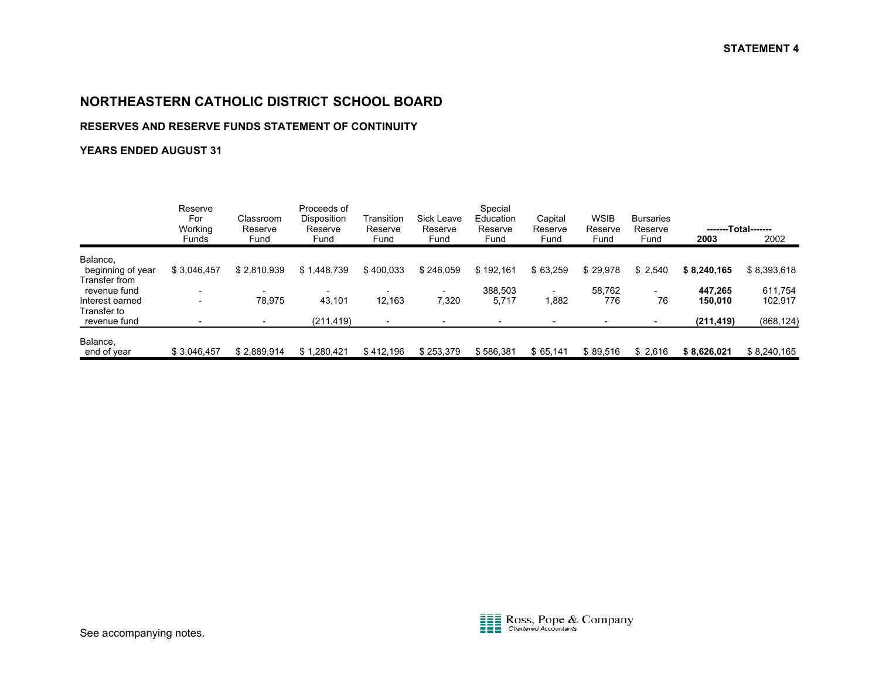#### **RESERVES AND RESERVE FUNDS STATEMENT OF CONTINUITY**

|                                                | Reserve<br>For<br>Working<br><b>Funds</b> | Classroom<br>Reserve<br>Fund | Proceeds of<br><b>Disposition</b><br>Reserve<br>Fund | Transition<br>Reserve<br>Fund | <b>Sick Leave</b><br>Reserve<br>Fund | Special<br>Education<br>Reserve<br>Fund | Capital<br>Reserve<br>Fund | <b>WSIB</b><br>Reserve<br>Fund | <b>Bursaries</b><br>Reserve<br>Fund | 2003        | -------Total-------<br>2002 |
|------------------------------------------------|-------------------------------------------|------------------------------|------------------------------------------------------|-------------------------------|--------------------------------------|-----------------------------------------|----------------------------|--------------------------------|-------------------------------------|-------------|-----------------------------|
|                                                |                                           |                              |                                                      |                               |                                      |                                         |                            |                                |                                     |             |                             |
| Balance,<br>beginning of year<br>Transfer from | \$3,046,457                               | \$2,810,939                  | \$1,448,739                                          | \$400,033                     | \$246,059                            | \$192,161                               | \$63,259                   | \$29,978                       | \$2,540                             | \$8,240,165 | \$8,393,618                 |
| revenue fund                                   |                                           |                              |                                                      |                               |                                      | 388,503                                 |                            | 58.762                         |                                     | 447.265     | 611,754                     |
| Interest earned                                | $\overline{\phantom{0}}$                  | 78.975                       | 43,101                                               | 12.163                        | 7,320                                | 5,717                                   | 1,882                      | 776                            | 76                                  | 150.010     | 102,917                     |
| Transfer to<br>revenue fund                    |                                           |                              | (211, 419)                                           | $\overline{\phantom{a}}$      |                                      |                                         |                            |                                |                                     | (211, 419)  | (868, 124)                  |
| Balance,                                       |                                           |                              |                                                      |                               |                                      |                                         |                            |                                |                                     |             |                             |
| end of year                                    | \$3,046,457                               | \$2,889,914                  | \$1,280,421                                          | \$412,196                     | \$253,379                            | \$586,381                               | \$65,141                   | \$89,516                       | \$2,616                             | \$8,626,021 | \$8,240,165                 |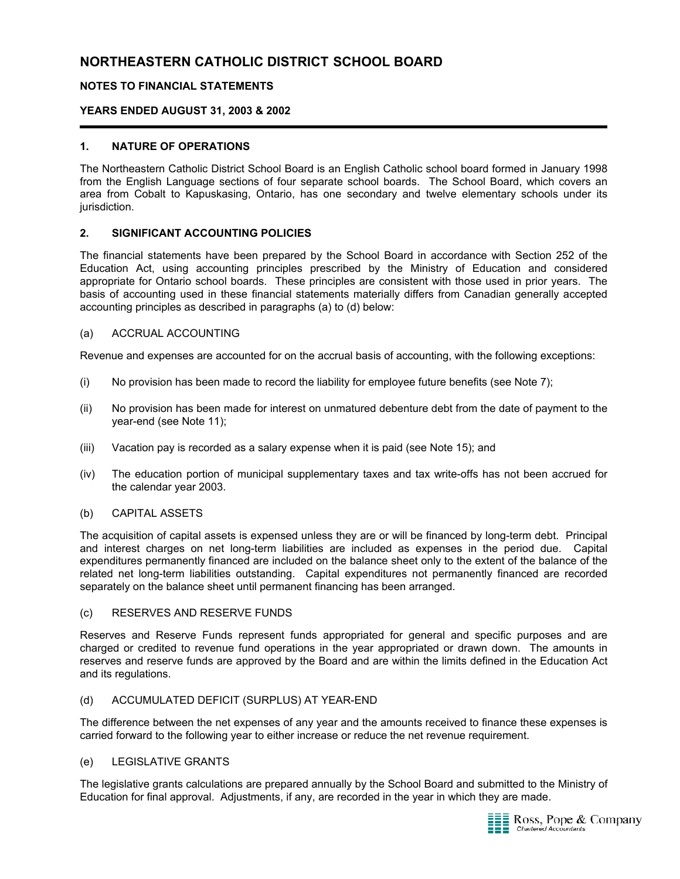#### **NOTES TO FINANCIAL STATEMENTS**

#### **YEARS ENDED AUGUST 31, 2003 & 2002**

#### **1. NATURE OF OPERATIONS**

The Northeastern Catholic District School Board is an English Catholic school board formed in January 1998 from the English Language sections of four separate school boards. The School Board, which covers an area from Cobalt to Kapuskasing, Ontario, has one secondary and twelve elementary schools under its jurisdiction.

#### **2. SIGNIFICANT ACCOUNTING POLICIES**

The financial statements have been prepared by the School Board in accordance with Section 252 of the Education Act, using accounting principles prescribed by the Ministry of Education and considered appropriate for Ontario school boards. These principles are consistent with those used in prior years. The basis of accounting used in these financial statements materially differs from Canadian generally accepted accounting principles as described in paragraphs (a) to (d) below:

#### (a) ACCRUAL ACCOUNTING

Revenue and expenses are accounted for on the accrual basis of accounting, with the following exceptions:

- (i) No provision has been made to record the liability for employee future benefits (see Note 7);
- (ii) No provision has been made for interest on unmatured debenture debt from the date of payment to the year-end (see Note 11);
- (iii) Vacation pay is recorded as a salary expense when it is paid (see Note 15); and
- (iv) The education portion of municipal supplementary taxes and tax write-offs has not been accrued for the calendar year 2003.

#### (b) CAPITAL ASSETS

The acquisition of capital assets is expensed unless they are or will be financed by long-term debt. Principal and interest charges on net long-term liabilities are included as expenses in the period due. Capital expenditures permanently financed are included on the balance sheet only to the extent of the balance of the related net long-term liabilities outstanding. Capital expenditures not permanently financed are recorded separately on the balance sheet until permanent financing has been arranged.

#### (c) RESERVES AND RESERVE FUNDS

Reserves and Reserve Funds represent funds appropriated for general and specific purposes and are charged or credited to revenue fund operations in the year appropriated or drawn down. The amounts in reserves and reserve funds are approved by the Board and are within the limits defined in the Education Act and its regulations.

#### (d) ACCUMULATED DEFICIT (SURPLUS) AT YEAR-END

The difference between the net expenses of any year and the amounts received to finance these expenses is carried forward to the following year to either increase or reduce the net revenue requirement.

#### (e) LEGISLATIVE GRANTS

The legislative grants calculations are prepared annually by the School Board and submitted to the Ministry of Education for final approval. Adjustments, if any, are recorded in the year in which they are made.

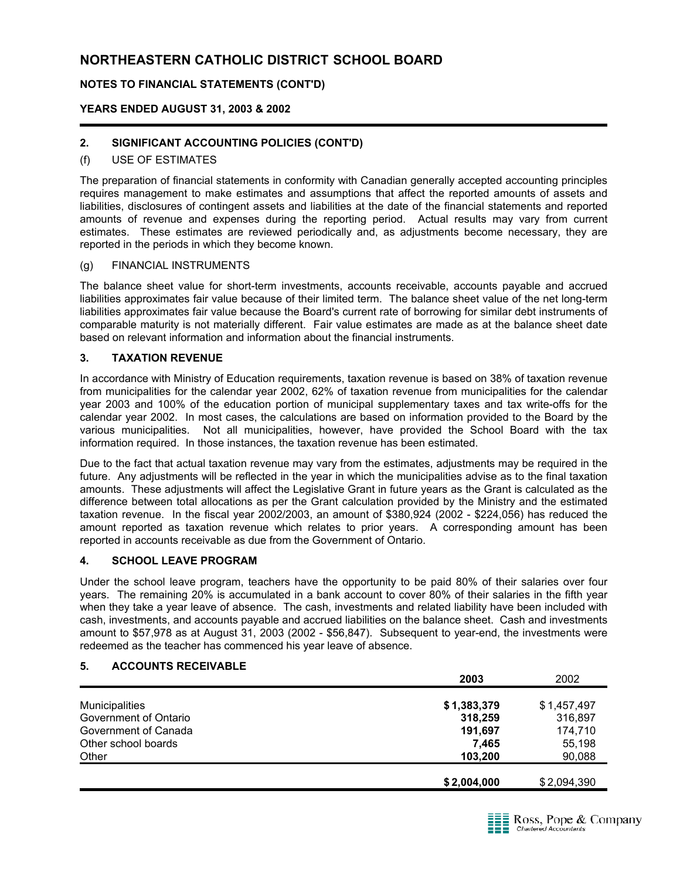### **NOTES TO FINANCIAL STATEMENTS (CONT'D)**

#### **YEARS ENDED AUGUST 31, 2003 & 2002**

### **2. SIGNIFICANT ACCOUNTING POLICIES (CONT'D)**

#### (f) USE OF ESTIMATES

The preparation of financial statements in conformity with Canadian generally accepted accounting principles requires management to make estimates and assumptions that affect the reported amounts of assets and liabilities, disclosures of contingent assets and liabilities at the date of the financial statements and reported amounts of revenue and expenses during the reporting period. Actual results may vary from current estimates. These estimates are reviewed periodically and, as adjustments become necessary, they are reported in the periods in which they become known.

#### (g) FINANCIAL INSTRUMENTS

The balance sheet value for short-term investments, accounts receivable, accounts payable and accrued liabilities approximates fair value because of their limited term. The balance sheet value of the net long-term liabilities approximates fair value because the Board's current rate of borrowing for similar debt instruments of comparable maturity is not materially different. Fair value estimates are made as at the balance sheet date based on relevant information and information about the financial instruments.

#### **3. TAXATION REVENUE**

In accordance with Ministry of Education requirements, taxation revenue is based on 38% of taxation revenue from municipalities for the calendar year 2002, 62% of taxation revenue from municipalities for the calendar year 2003 and 100% of the education portion of municipal supplementary taxes and tax write-offs for the calendar year 2002. In most cases, the calculations are based on information provided to the Board by the various municipalities. Not all municipalities, however, have provided the School Board with the tax information required. In those instances, the taxation revenue has been estimated.

Due to the fact that actual taxation revenue may vary from the estimates, adjustments may be required in the future. Any adjustments will be reflected in the year in which the municipalities advise as to the final taxation amounts. These adjustments will affect the Legislative Grant in future years as the Grant is calculated as the difference between total allocations as per the Grant calculation provided by the Ministry and the estimated taxation revenue. In the fiscal year 2002/2003, an amount of \$380,924 (2002 - \$224,056) has reduced the amount reported as taxation revenue which relates to prior years. A corresponding amount has been reported in accounts receivable as due from the Government of Ontario.

#### **4. SCHOOL LEAVE PROGRAM**

Under the school leave program, teachers have the opportunity to be paid 80% of their salaries over four years. The remaining 20% is accumulated in a bank account to cover 80% of their salaries in the fifth year when they take a year leave of absence. The cash, investments and related liability have been included with cash, investments, and accounts payable and accrued liabilities on the balance sheet. Cash and investments amount to \$57,978 as at August 31, 2003 (2002 - \$56,847). Subsequent to year-end, the investments were redeemed as the teacher has commenced his year leave of absence.

#### **5. ACCOUNTS RECEIVABLE**

|                       | 2003        | 2002        |
|-----------------------|-------------|-------------|
| <b>Municipalities</b> | \$1,383,379 | \$1,457,497 |
| Government of Ontario | 318,259     | 316,897     |
| Government of Canada  | 191,697     | 174,710     |
| Other school boards   | 7.465       | 55,198      |
| Other                 | 103.200     | 90,088      |
|                       | \$2,004,000 | \$2,094,390 |

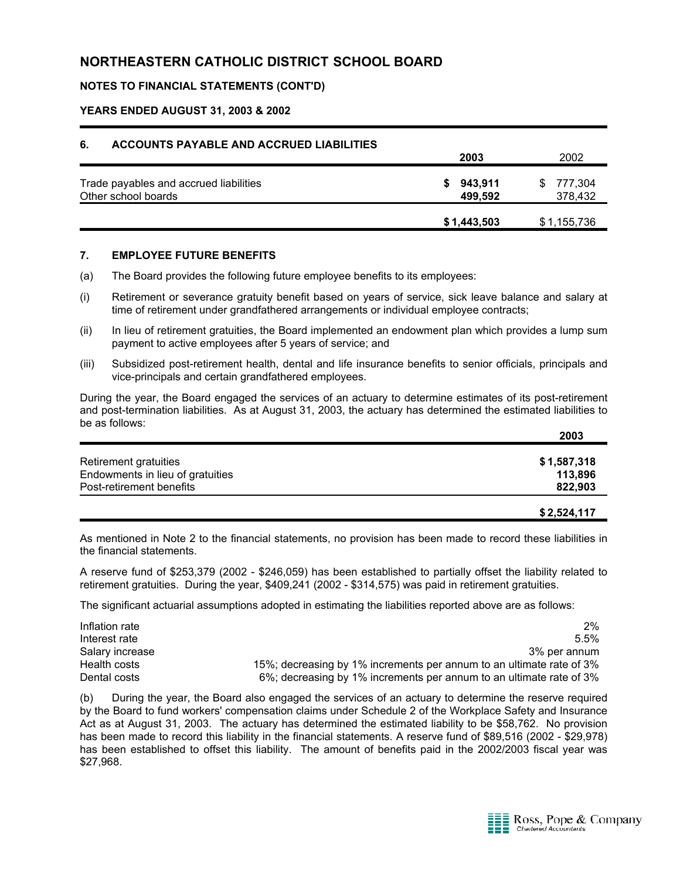#### **NOTES TO FINANCIAL STATEMENTS (CONT'D)**

#### **YEARS ENDED AUGUST 31, 2003 & 2002**

| 6.<br><b>ACCOUNTS PAYABLE AND ACCRUED LIABILITIES</b> |               |              |
|-------------------------------------------------------|---------------|--------------|
|                                                       | 2003          | 2002         |
| Trade payables and accrued liabilities                | 943,911<br>S. | 777,304<br>S |
| Other school boards                                   | 499.592       | 378,432      |
|                                                       | \$1,443,503   | \$1,155,736  |

#### **7. EMPLOYEE FUTURE BENEFITS**

- (a) The Board provides the following future employee benefits to its employees:
- (i) Retirement or severance gratuity benefit based on years of service, sick leave balance and salary at time of retirement under grandfathered arrangements or individual employee contracts;
- (ii) In lieu of retirement gratuities, the Board implemented an endowment plan which provides a lump sum payment to active employees after 5 years of service; and
- (iii) Subsidized post-retirement health, dental and life insurance benefits to senior officials, principals and vice-principals and certain grandfathered employees.

During the year, the Board engaged the services of an actuary to determine estimates of its post-retirement and post-termination liabilities. As at August 31, 2003, the actuary has determined the estimated liabilities to be as follows: **2003**

|                                  | 2003        |
|----------------------------------|-------------|
| Retirement gratuities            | \$1,587,318 |
| Endowments in lieu of gratuities | 113,896     |
| Post-retirement benefits         | 822.903     |
|                                  |             |

**\$ 2,524,117**

As mentioned in Note 2 to the financial statements, no provision has been made to record these liabilities in the financial statements.

A reserve fund of \$253,379 (2002 - \$246,059) has been established to partially offset the liability related to retirement gratuities. During the year, \$409,241 (2002 - \$314,575) was paid in retirement gratuities.

The significant actuarial assumptions adopted in estimating the liabilities reported above are as follows:

| Inflation rate  | $2\%$                                                                |
|-----------------|----------------------------------------------------------------------|
| Interest rate   | $5.5\%$                                                              |
| Salary increase | 3% per annum                                                         |
| Health costs    | 15%; decreasing by 1% increments per annum to an ultimate rate of 3% |
| Dental costs    | 6%; decreasing by 1% increments per annum to an ultimate rate of 3%  |

(b) During the year, the Board also engaged the services of an actuary to determine the reserve required by the Board to fund workers' compensation claims under Schedule 2 of the Workplace Safety and Insurance Act as at August 31, 2003. The actuary has determined the estimated liability to be \$58,762. No provision has been made to record this liability in the financial statements. A reserve fund of \$89,516 (2002 - \$29,978) has been established to offset this liability. The amount of benefits paid in the 2002/2003 fiscal year was \$27,968.

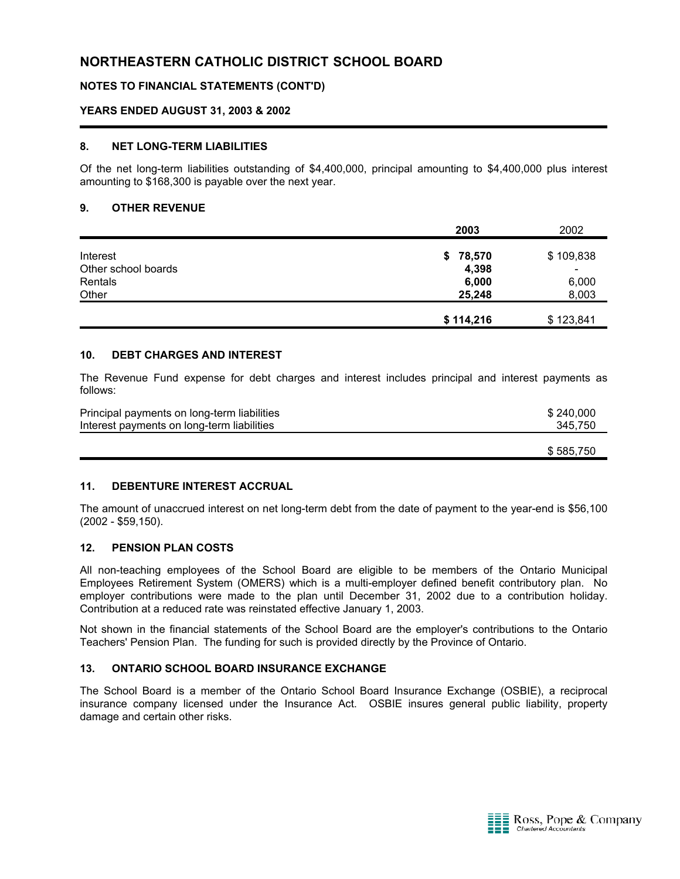#### **NOTES TO FINANCIAL STATEMENTS (CONT'D)**

#### **YEARS ENDED AUGUST 31, 2003 & 2002**

#### **8. NET LONG-TERM LIABILITIES**

Of the net long-term liabilities outstanding of \$4,400,000, principal amounting to \$4,400,000 plus interest amounting to \$168,300 is payable over the next year.

#### **9. OTHER REVENUE**

|                     | 2003      | 2002                     |
|---------------------|-----------|--------------------------|
| Interest            | \$78,570  | \$109,838                |
| Other school boards | 4,398     | $\overline{\phantom{a}}$ |
| Rentals             | 6,000     | 6,000                    |
| Other               | 25,248    | 8,003                    |
|                     | \$114,216 | \$123,841                |

#### **10. DEBT CHARGES AND INTEREST**

The Revenue Fund expense for debt charges and interest includes principal and interest payments as follows:

| Principal payments on long-term liabilities | \$240.000 |
|---------------------------------------------|-----------|
| Interest payments on long-term liabilities  | 345.750   |
|                                             | \$585.750 |

#### **11. DEBENTURE INTEREST ACCRUAL**

The amount of unaccrued interest on net long-term debt from the date of payment to the year-end is \$56,100 (2002 - \$59,150).

#### **12. PENSION PLAN COSTS**

All non-teaching employees of the School Board are eligible to be members of the Ontario Municipal Employees Retirement System (OMERS) which is a multi-employer defined benefit contributory plan. No employer contributions were made to the plan until December 31, 2002 due to a contribution holiday. Contribution at a reduced rate was reinstated effective January 1, 2003.

Not shown in the financial statements of the School Board are the employer's contributions to the Ontario Teachers' Pension Plan. The funding for such is provided directly by the Province of Ontario.

#### **13. ONTARIO SCHOOL BOARD INSURANCE EXCHANGE**

The School Board is a member of the Ontario School Board Insurance Exchange (OSBIE), a reciprocal insurance company licensed under the Insurance Act. OSBIE insures general public liability, property damage and certain other risks.

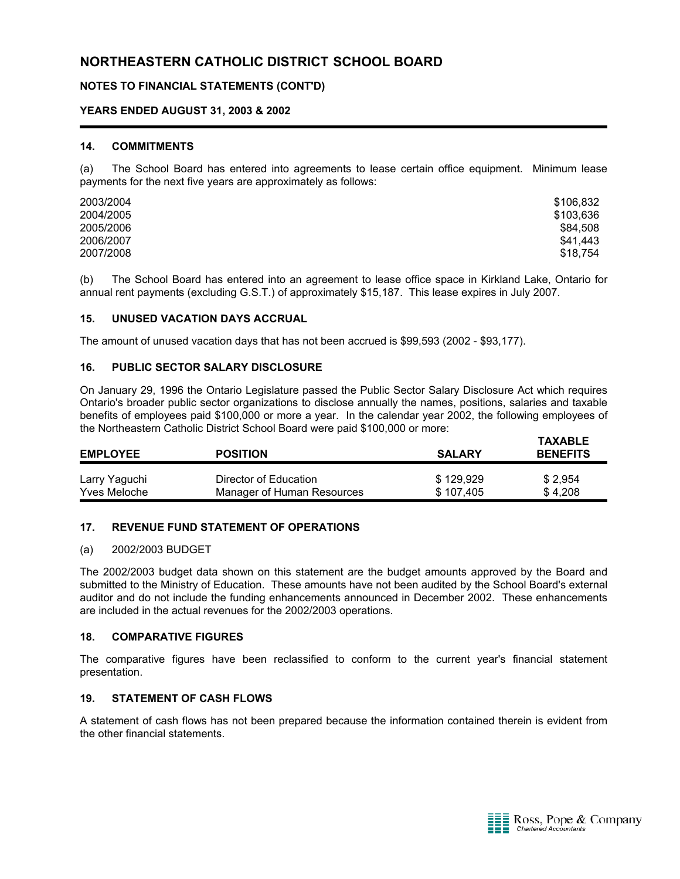#### **NOTES TO FINANCIAL STATEMENTS (CONT'D)**

#### **YEARS ENDED AUGUST 31, 2003 & 2002**

#### **14. COMMITMENTS**

(a) The School Board has entered into agreements to lease certain office equipment. Minimum lease payments for the next five years are approximately as follows:

| \$106,832 |
|-----------|
| \$103,636 |
| \$84,508  |
| \$41.443  |
| \$18.754  |
|           |

(b) The School Board has entered into an agreement to lease office space in Kirkland Lake, Ontario for annual rent payments (excluding G.S.T.) of approximately \$15,187. This lease expires in July 2007.

#### **15. UNUSED VACATION DAYS ACCRUAL**

The amount of unused vacation days that has not been accrued is \$99,593 (2002 - \$93,177).

#### **16. PUBLIC SECTOR SALARY DISCLOSURE**

On January 29, 1996 the Ontario Legislature passed the Public Sector Salary Disclosure Act which requires Ontario's broader public sector organizations to disclose annually the names, positions, salaries and taxable benefits of employees paid \$100,000 or more a year. In the calendar year 2002, the following employees of the Northeastern Catholic District School Board were paid \$100,000 or more:

| <b>EMPLOYEE</b>     | <b>POSITION</b>            | <b>SALARY</b> | <b>TAXABLE</b><br><b>BENEFITS</b> |
|---------------------|----------------------------|---------------|-----------------------------------|
| Larry Yaguchi       | Director of Education      | \$129,929     | \$2,954                           |
| <b>Yves Meloche</b> | Manager of Human Resources | \$107,405     | \$4,208                           |

#### **17. REVENUE FUND STATEMENT OF OPERATIONS**

#### (a) 2002/2003 BUDGET

The 2002/2003 budget data shown on this statement are the budget amounts approved by the Board and submitted to the Ministry of Education. These amounts have not been audited by the School Board's external auditor and do not include the funding enhancements announced in December 2002. These enhancements are included in the actual revenues for the 2002/2003 operations.

#### **18. COMPARATIVE FIGURES**

The comparative figures have been reclassified to conform to the current year's financial statement presentation.

#### **19. STATEMENT OF CASH FLOWS**

A statement of cash flows has not been prepared because the information contained therein is evident from the other financial statements.

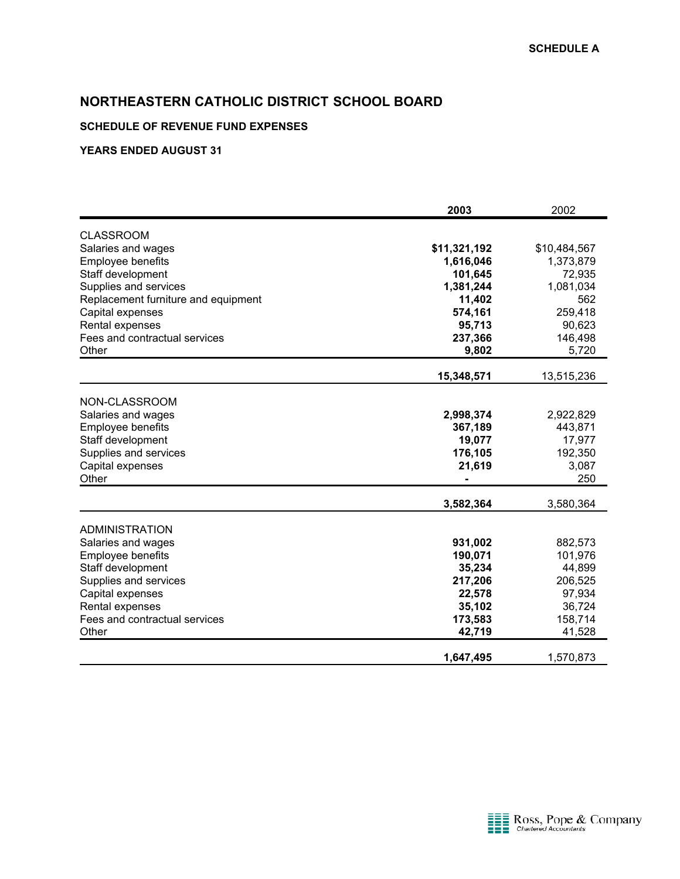#### **SCHEDULE OF REVENUE FUND EXPENSES**

|                                     | 2003         | 2002         |
|-------------------------------------|--------------|--------------|
| <b>CLASSROOM</b>                    |              |              |
| Salaries and wages                  | \$11,321,192 | \$10,484,567 |
| <b>Employee benefits</b>            | 1,616,046    | 1,373,879    |
| Staff development                   | 101,645      | 72,935       |
| Supplies and services               | 1,381,244    | 1,081,034    |
| Replacement furniture and equipment | 11,402       | 562          |
| Capital expenses                    | 574,161      | 259,418      |
| Rental expenses                     | 95,713       | 90,623       |
| Fees and contractual services       | 237,366      | 146,498      |
| Other                               | 9,802        | 5,720        |
|                                     | 15,348,571   | 13,515,236   |
|                                     |              |              |
| NON-CLASSROOM                       |              |              |
| Salaries and wages                  | 2,998,374    | 2,922,829    |
| <b>Employee benefits</b>            | 367,189      | 443,871      |
| Staff development                   | 19,077       | 17,977       |
| Supplies and services               | 176,105      | 192,350      |
| Capital expenses                    | 21,619       | 3,087        |
| Other                               |              | 250          |
|                                     | 3,582,364    | 3,580,364    |
|                                     |              |              |
| <b>ADMINISTRATION</b>               |              |              |
| Salaries and wages                  | 931,002      | 882,573      |
| <b>Employee benefits</b>            | 190,071      | 101,976      |
| Staff development                   | 35,234       | 44,899       |
| Supplies and services               | 217,206      | 206,525      |
| Capital expenses                    | 22,578       | 97,934       |
| Rental expenses                     | 35,102       | 36,724       |
| Fees and contractual services       | 173,583      | 158,714      |
| Other                               | 42,719       | 41,528       |
|                                     | 1,647,495    | 1,570,873    |